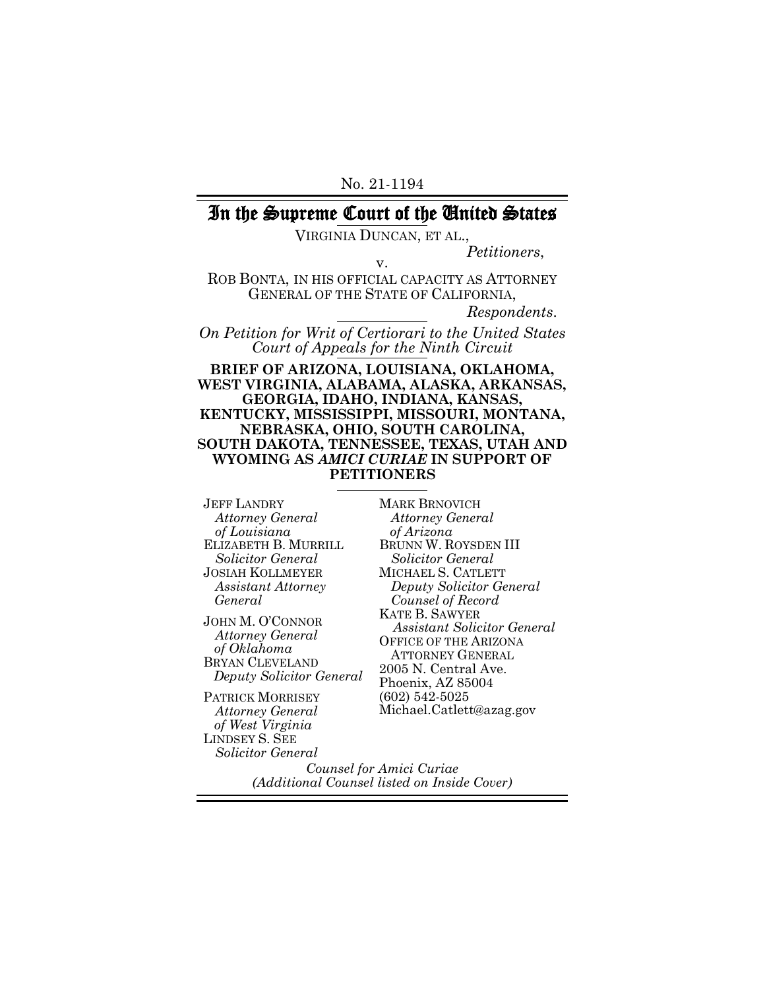# In the Supreme Court of the United States

VIRGINIA DUNCAN, ET AL.,

*Petitioners*, v.

ROB BONTA, IN HIS OFFICIAL CAPACITY AS ATTORNEY GENERAL OF THE STATE OF CALIFORNIA,

*Respondents*.

*On Petition for Writ of Certiorari to the United States Court of Appeals for the Ninth Circuit*

**BRIEF OF ARIZONA, LOUISIANA, OKLAHOMA, WEST VIRGINIA, ALABAMA, ALASKA, ARKANSAS, GEORGIA, IDAHO, INDIANA, KANSAS, KENTUCKY, MISSISSIPPI, MISSOURI, MONTANA, NEBRASKA, OHIO, SOUTH CAROLINA, SOUTH DAKOTA, TENNESSEE, TEXAS, UTAH AND WYOMING AS** *AMICI CURIAE* **IN SUPPORT OF PETITIONERS**

JEFF LANDRY *Attorney General of Louisiana* ELIZABETH B. MURRILL *Solicitor General* JOSIAH KOLLMEYER *Assistant Attorney General*

JOHN M. O'CONNOR *Attorney General of Oklahoma* BRYAN CLEVELAND *Deputy Solicitor General*

PATRICK MORRISEY *Attorney General of West Virginia* LINDSEY S. SEE *Solicitor General*

MARK BRNOVICH *Attorney General of Arizona* BRUNN W. ROYSDEN III *Solicitor General* MICHAEL S. CATLETT *Deputy Solicitor General Counsel of Record* KATE B. SAWYER *Assistant Solicitor General* OFFICE OF THE ARIZONA ATTORNEY GENERAL 2005 N. Central Ave. Phoenix, AZ 85004 (602) 542-5025 Michael.Catlett@azag.gov

*Counsel for Amici Curiae (Additional Counsel listed on Inside Cover)*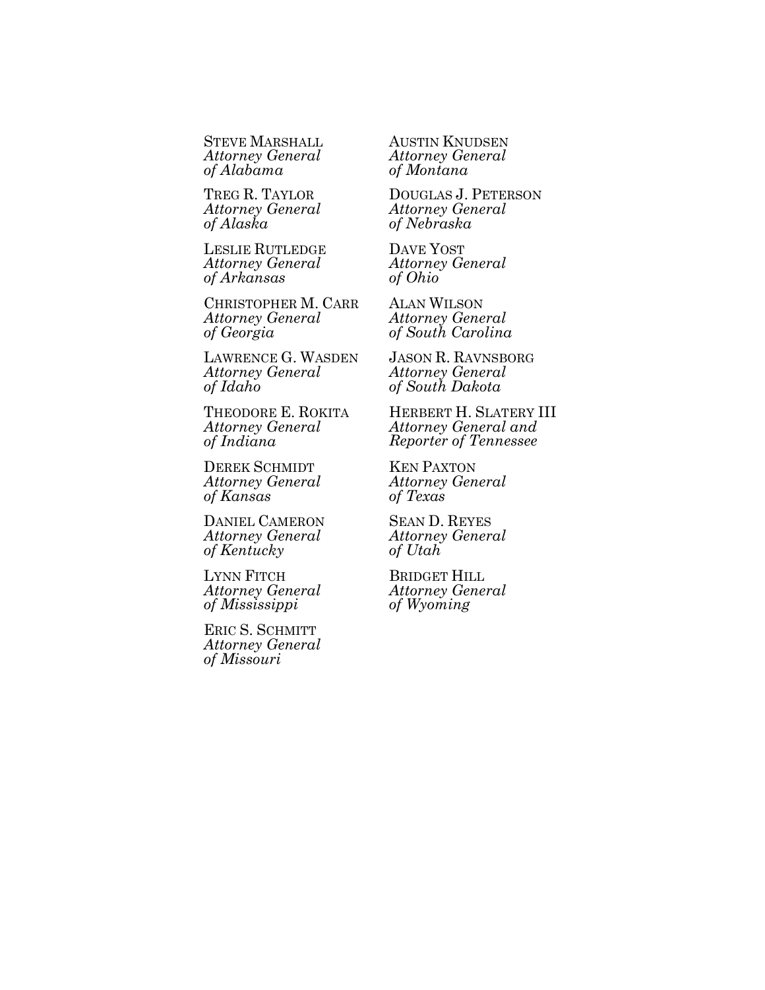STEVE MARSHALL *Attorney General of Alabama*

TREG R. TAYLOR *Attorney General of Alaska*

LESLIE RUTLEDGE *Attorney General of Arkansas*

CHRISTOPHER M. CARR *Attorney General of Georgia*

LAWRENCE G. WASDEN *Attorney General of Idaho*

THEODORE E. ROKITA *Attorney General of Indiana*

DEREK SCHMIDT *Attorney General of Kansas*

DANIEL CAMERON *Attorney General of Kentucky*

LYNN FITCH *Attorney General of Mississippi*

ERIC S. SCHMITT *Attorney General of Missouri*

AUSTIN KNUDSEN *Attorney General of Montana*

DOUGLAS J. PETERSON *Attorney General of Nebraska*

DAVE YOST *Attorney General of Ohio*

ALAN WILSON *Attorney General of South Carolina*

JASON R. RAVNSBORG *Attorney General of South Dakota*

HERBERT H. SLATERY III *Attorney General and Reporter of Tennessee*

KEN PAXTON *Attorney General of Texas*

SEAN D. REYES *Attorney General of Utah*

BRIDGET HILL *Attorney General of Wyoming*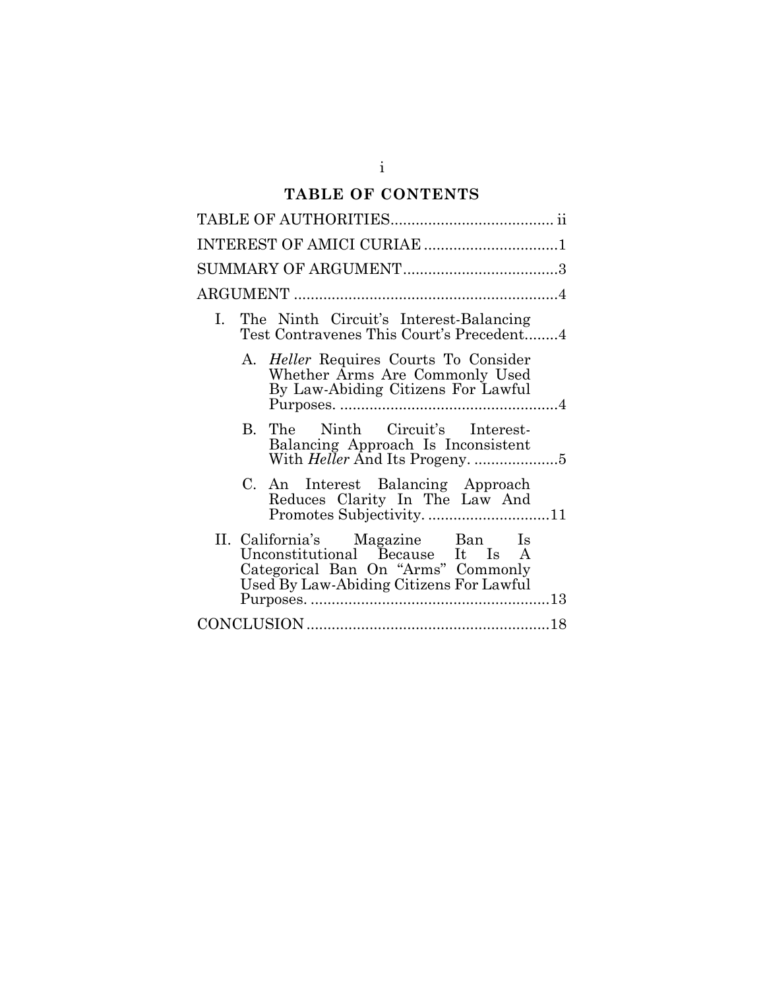# **TABLE OF CONTENTS**

| INTEREST OF AMICI CURIAE 1                                                                                                                            |
|-------------------------------------------------------------------------------------------------------------------------------------------------------|
|                                                                                                                                                       |
|                                                                                                                                                       |
| The Ninth Circuit's Interest-Balancing<br>Ι.<br>Test Contravenes This Court's Precedent4                                                              |
| A. <i>Heller</i> Requires Courts To Consider<br>Whether Arms Are Commonly Used<br>By Law-Abiding Citizens For Lawful                                  |
| B. The Ninth Circuit's Interest-<br>Balancing Approach Is Inconsistent                                                                                |
| C. An Interest Balancing Approach<br>Reduces Clarity In The Law And<br>Promotes Subjectivity11                                                        |
| II. California's Magazine Ban Is<br>Unconstitutional Because It Is A<br>Categorical Ban On "Arms" Commonly<br>Used By Law-Abiding Citizens For Lawful |
|                                                                                                                                                       |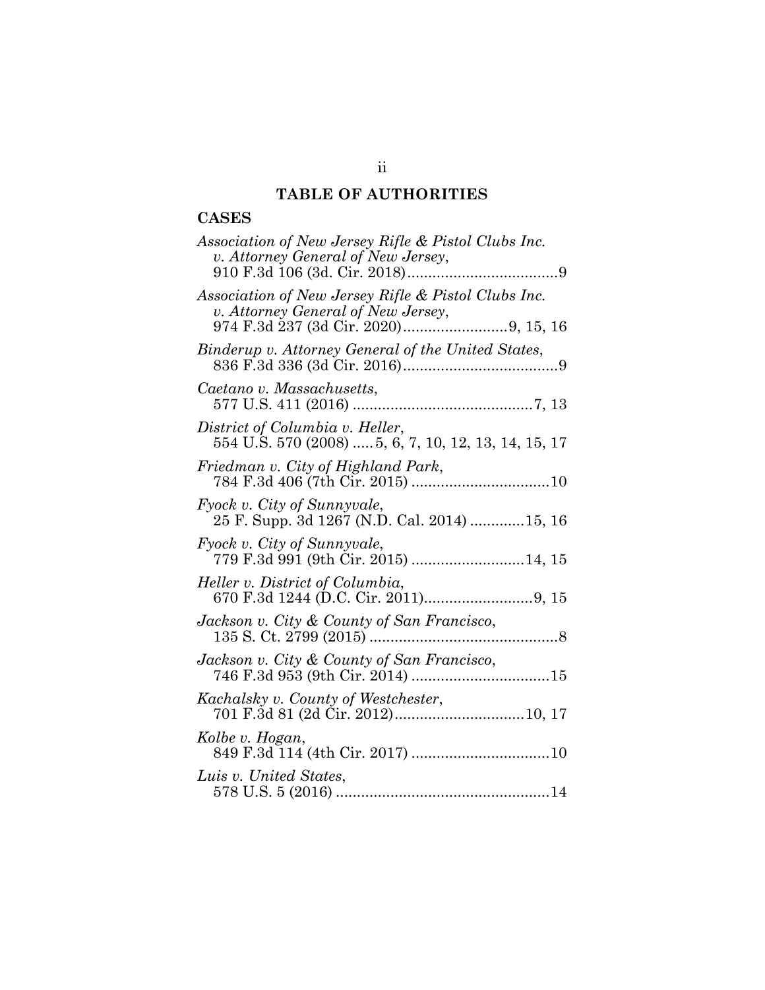# **TABLE OF AUTHORITIES**

# **CASES**

| Association of New Jersey Rifle & Pistol Clubs Inc.<br>v. Attorney General of New Jersey, |
|-------------------------------------------------------------------------------------------|
| Association of New Jersey Rifle & Pistol Clubs Inc.<br>v. Attorney General of New Jersey, |
| Binderup v. Attorney General of the United States,                                        |
| Caetano v. Massachusetts,                                                                 |
| District of Columbia v. Heller,<br>554 U.S. 570 (2008)  5, 6, 7, 10, 12, 13, 14, 15, 17   |
| Friedman v. City of Highland Park,                                                        |
| Fyock v. City of Sunnyvale,<br>25 F. Supp. 3d 1267 (N.D. Cal. 2014) 15, 16                |
| Fyock v. City of Sunnyvale,                                                               |
| Heller v. District of Columbia,                                                           |
| Jackson v. City & County of San Francisco,                                                |
| Jackson v. City & County of San Francisco,                                                |
| Kachalsky v. County of Westchester,                                                       |
| Kolbe v. Hogan,                                                                           |
| Luis v. United States,                                                                    |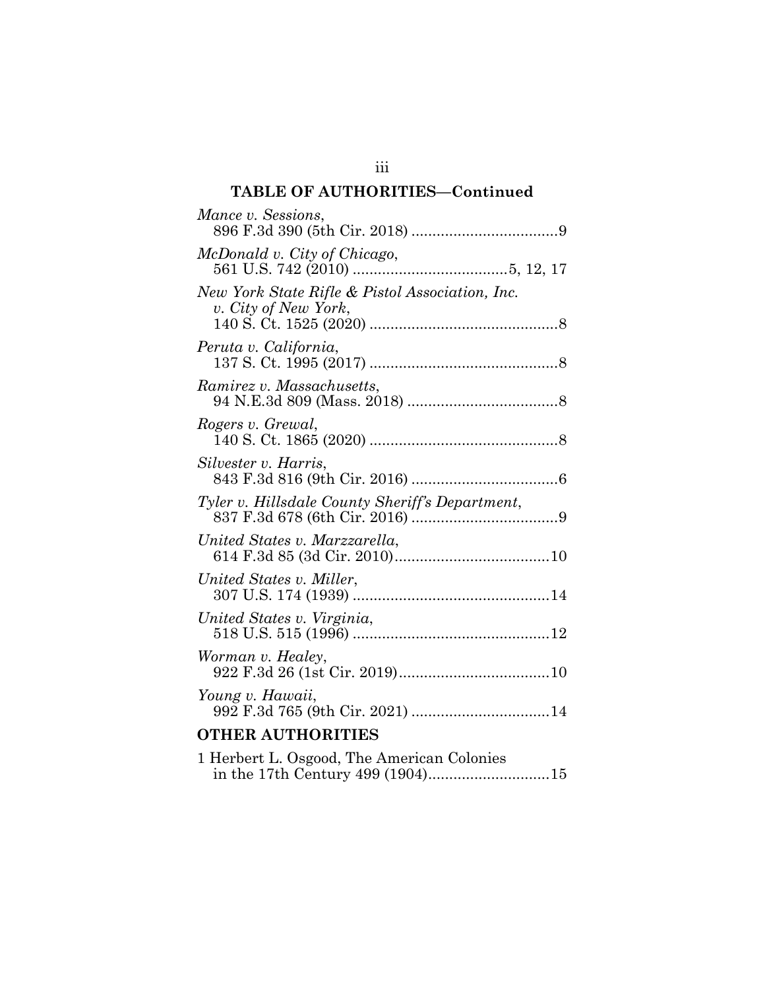# **TABLE OF AUTHORITIES—Continued**

| Mance v. Sessions,                                                      |
|-------------------------------------------------------------------------|
| McDonald v. City of Chicago,                                            |
| New York State Rifle & Pistol Association, Inc.<br>v. City of New York, |
| Peruta v. California,                                                   |
| Ramirez v. Massachusetts,                                               |
| Rogers v. Grewal,                                                       |
| Silvester v. Harris,                                                    |
| Tyler v. Hillsdale County Sheriff's Department,                         |
| United States v. Marzzarella,                                           |
| United States v. Miller,                                                |
| United States v. Virginia,                                              |
| Worman v. Healey,                                                       |
| Young v. Hawaii,                                                        |
| <b>OTHER AUTHORITIES</b>                                                |

| 1 Herbert L. Osgood, The American Colonies |  |
|--------------------------------------------|--|
|                                            |  |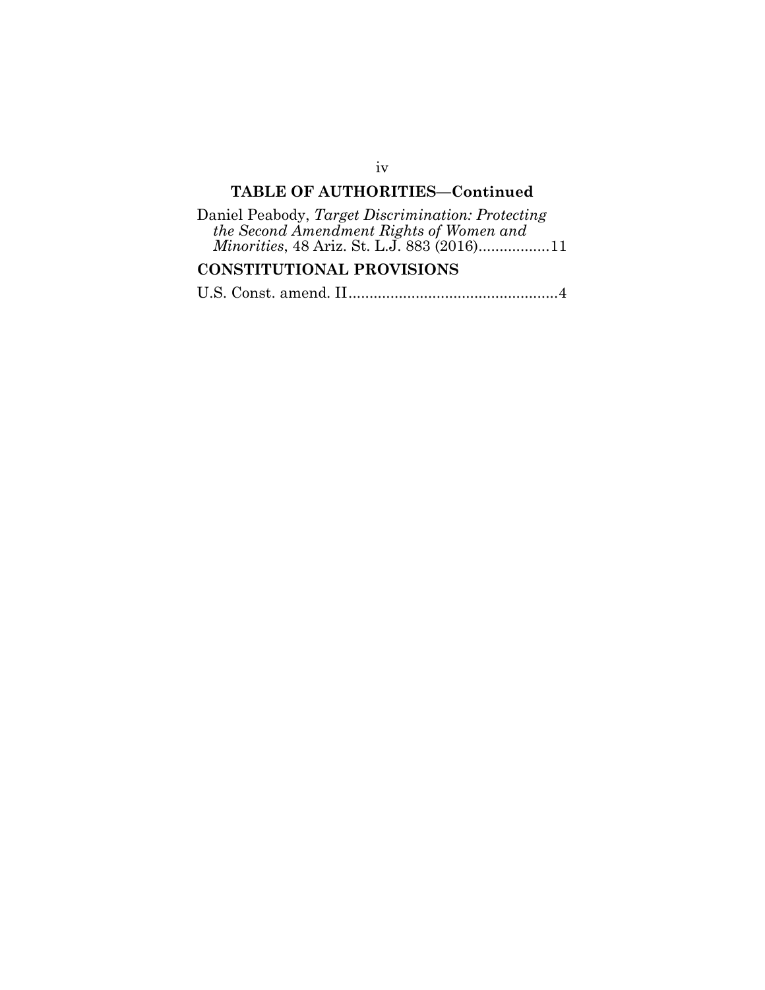# **TABLE OF AUTHORITIES—Continued**

| Daniel Peabody, Target Discrimination: Protecting |
|---------------------------------------------------|
| the Second Amendment Rights of Women and          |
| <i>Minorities, 48 Ariz. St. L.J. 883 (2016)11</i> |

# **CONSTITUTIONAL PROVISIONS**

|--|--|--|--|--|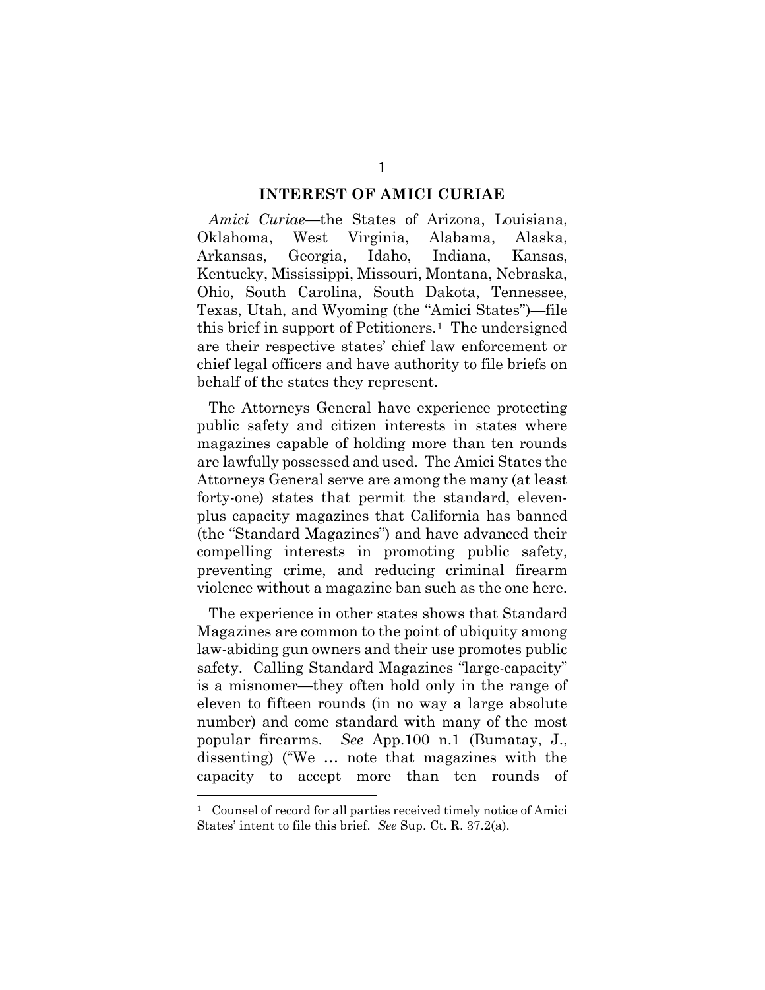#### **INTEREST OF AMICI CURIAE**

*Amici Curiae*—the States of Arizona, Louisiana, Oklahoma, West Virginia, Alabama, Alaska, Arkansas, Georgia, Idaho, Indiana, Kansas, Kentucky, Mississippi, Missouri, Montana, Nebraska, Ohio, South Carolina, South Dakota, Tennessee, Texas, Utah, and Wyoming (the "Amici States")—file this brief in support of Petitioners.[1](#page-6-0) The undersigned are their respective states' chief law enforcement or chief legal officers and have authority to file briefs on behalf of the states they represent.

The Attorneys General have experience protecting public safety and citizen interests in states where magazines capable of holding more than ten rounds are lawfully possessed and used. The Amici States the Attorneys General serve are among the many (at least forty-one) states that permit the standard, elevenplus capacity magazines that California has banned (the "Standard Magazines") and have advanced their compelling interests in promoting public safety, preventing crime, and reducing criminal firearm violence without a magazine ban such as the one here.

The experience in other states shows that Standard Magazines are common to the point of ubiquity among law-abiding gun owners and their use promotes public safety. Calling Standard Magazines "large-capacity" is a misnomer—they often hold only in the range of eleven to fifteen rounds (in no way a large absolute number) and come standard with many of the most popular firearms. *See* App.100 n.1 (Bumatay, J., dissenting) ("We … note that magazines with the capacity to accept more than ten rounds of

<span id="page-6-0"></span><sup>&</sup>lt;sup>1</sup> Counsel of record for all parties received timely notice of Amici States' intent to file this brief. *See* Sup. Ct. R. 37.2(a).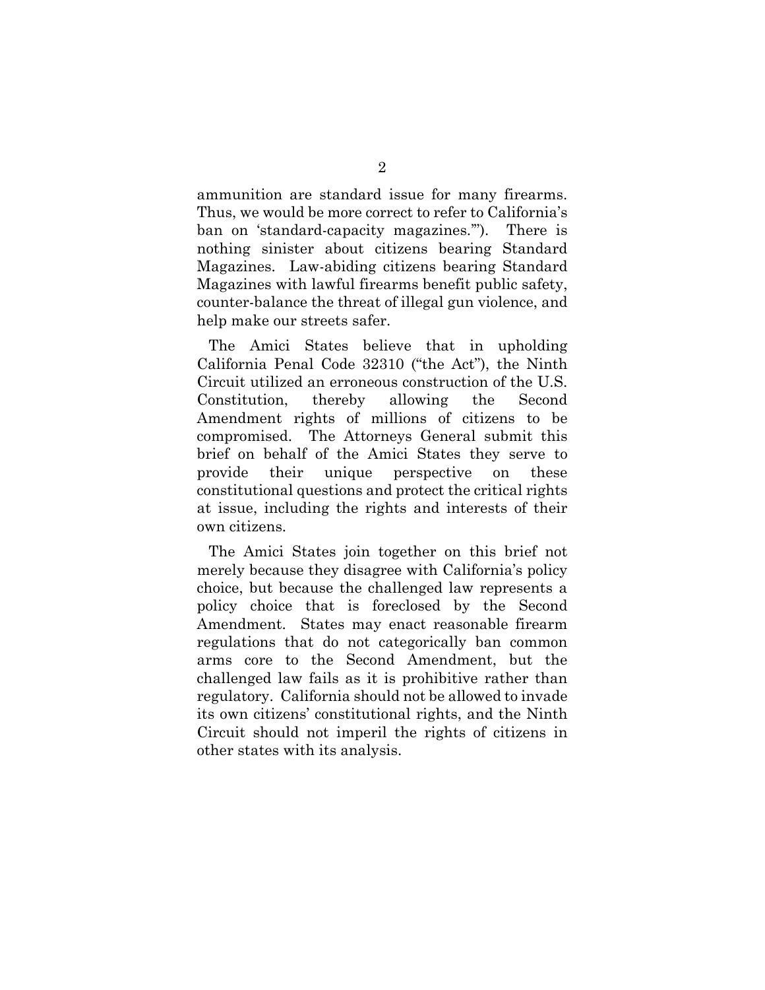ammunition are standard issue for many firearms. Thus, we would be more correct to refer to California's ban on 'standard-capacity magazines.'"). There is nothing sinister about citizens bearing Standard Magazines. Law-abiding citizens bearing Standard Magazines with lawful firearms benefit public safety, counter-balance the threat of illegal gun violence, and help make our streets safer.

The Amici States believe that in upholding California Penal Code 32310 ("the Act"), the Ninth Circuit utilized an erroneous construction of the U.S. Constitution, thereby allowing the Second Amendment rights of millions of citizens to be compromised. The Attorneys General submit this brief on behalf of the Amici States they serve to provide their unique perspective on these constitutional questions and protect the critical rights at issue, including the rights and interests of their own citizens.

The Amici States join together on this brief not merely because they disagree with California's policy choice, but because the challenged law represents a policy choice that is foreclosed by the Second Amendment. States may enact reasonable firearm regulations that do not categorically ban common arms core to the Second Amendment, but the challenged law fails as it is prohibitive rather than regulatory. California should not be allowed to invade its own citizens' constitutional rights, and the Ninth Circuit should not imperil the rights of citizens in other states with its analysis.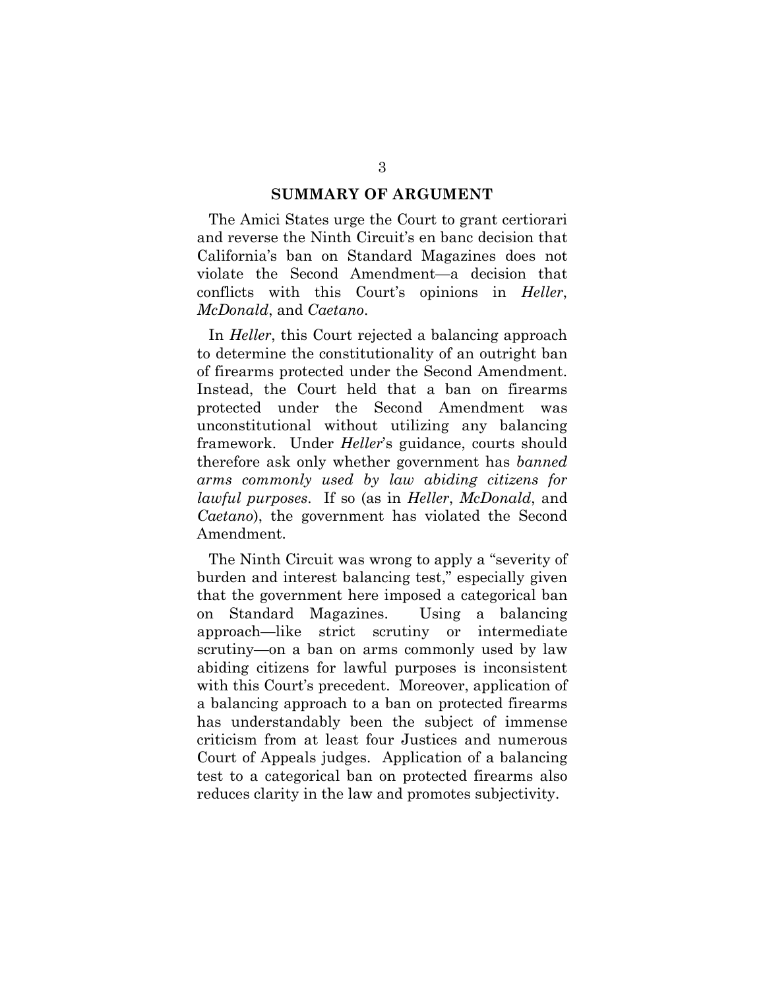#### **SUMMARY OF ARGUMENT**

The Amici States urge the Court to grant certiorari and reverse the Ninth Circuit's en banc decision that California's ban on Standard Magazines does not violate the Second Amendment—a decision that conflicts with this Court's opinions in *Heller*, *McDonald*, and *Caetano*.

In *Heller*, this Court rejected a balancing approach to determine the constitutionality of an outright ban of firearms protected under the Second Amendment. Instead, the Court held that a ban on firearms protected under the Second Amendment was unconstitutional without utilizing any balancing framework. Under *Heller*'s guidance, courts should therefore ask only whether government has *banned arms commonly used by law abiding citizens for lawful purposes*. If so (as in *Heller*, *McDonald*, and *Caetano*), the government has violated the Second Amendment.

The Ninth Circuit was wrong to apply a "severity of burden and interest balancing test," especially given that the government here imposed a categorical ban on Standard Magazines. Using a balancing approach—like strict scrutiny or intermediate scrutiny—on a ban on arms commonly used by law abiding citizens for lawful purposes is inconsistent with this Court's precedent. Moreover, application of a balancing approach to a ban on protected firearms has understandably been the subject of immense criticism from at least four Justices and numerous Court of Appeals judges. Application of a balancing test to a categorical ban on protected firearms also reduces clarity in the law and promotes subjectivity.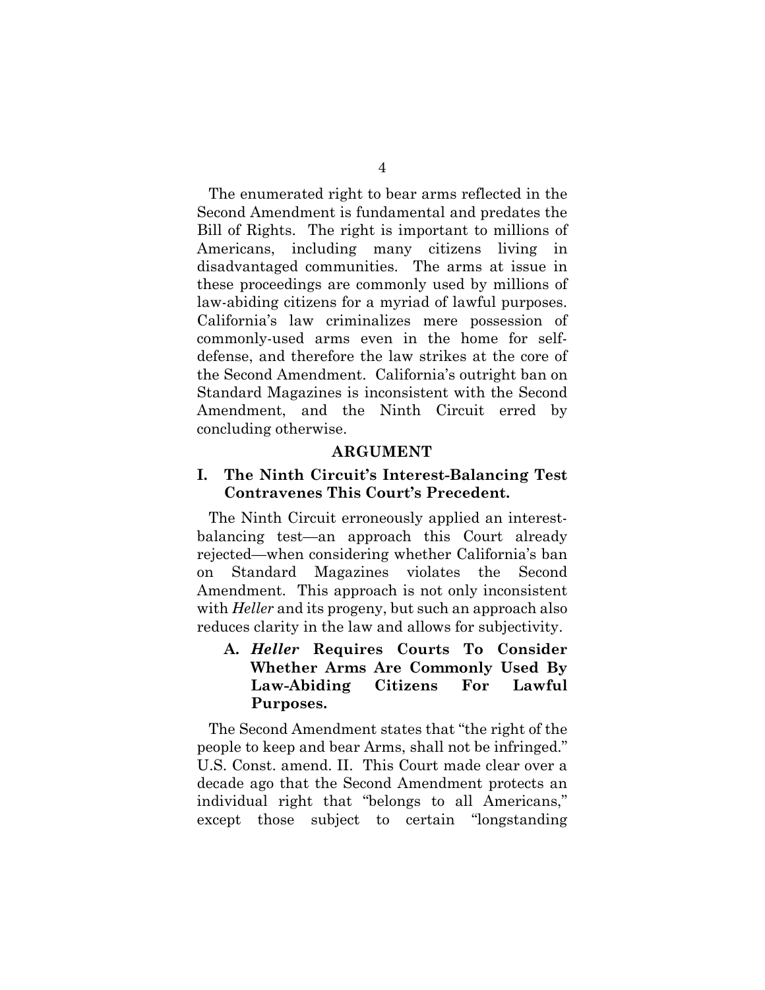The enumerated right to bear arms reflected in the Second Amendment is fundamental and predates the Bill of Rights. The right is important to millions of Americans, including many citizens living in disadvantaged communities. The arms at issue in these proceedings are commonly used by millions of law-abiding citizens for a myriad of lawful purposes. California's law criminalizes mere possession of commonly-used arms even in the home for selfdefense, and therefore the law strikes at the core of the Second Amendment. California's outright ban on Standard Magazines is inconsistent with the Second Amendment, and the Ninth Circuit erred by concluding otherwise.

#### **ARGUMENT**

#### **I. The Ninth Circuit's Interest-Balancing Test Contravenes This Court's Precedent.**

The Ninth Circuit erroneously applied an interestbalancing test—an approach this Court already rejected—when considering whether California's ban on Standard Magazines violates the Second Amendment. This approach is not only inconsistent with *Heller* and its progeny, but such an approach also reduces clarity in the law and allows for subjectivity.

### **A.** *Heller* **Requires Courts To Consider Whether Arms Are Commonly Used By Law-Abiding Citizens For Lawful Purposes.**

The Second Amendment states that "the right of the people to keep and bear Arms, shall not be infringed." U.S. Const. amend. II. This Court made clear over a decade ago that the Second Amendment protects an individual right that "belongs to all Americans," except those subject to certain "longstanding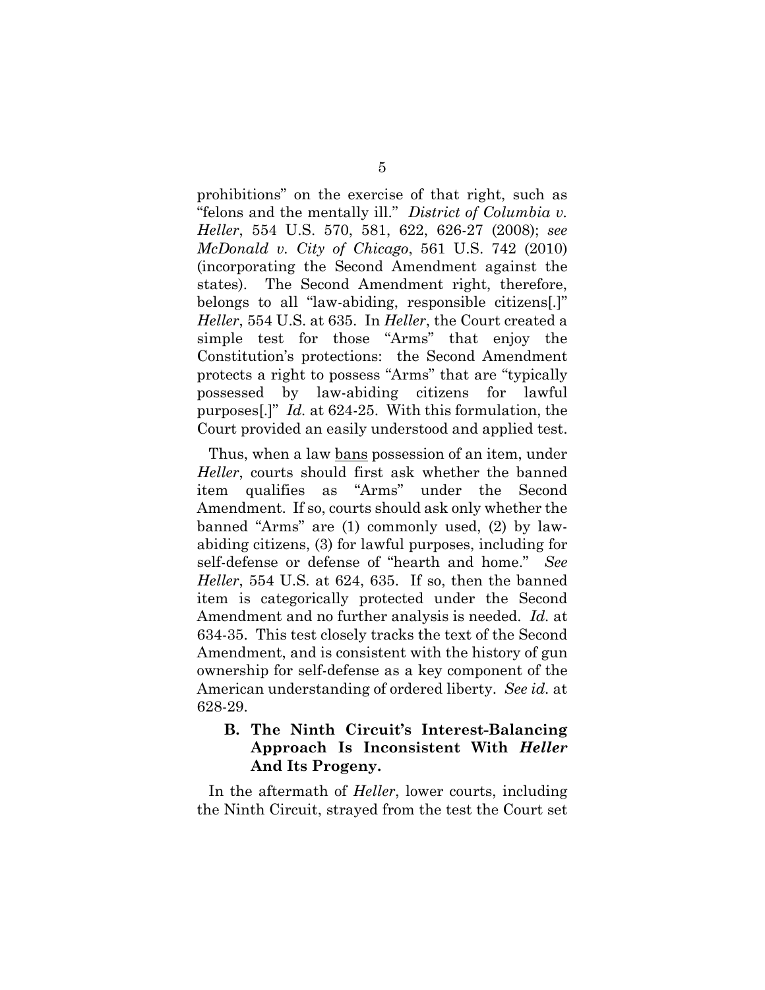prohibitions" on the exercise of that right, such as "felons and the mentally ill." *District of Columbia v. Heller*, 554 U.S. 570, 581, 622, 626-27 (2008); *see McDonald v. City of Chicago*, 561 U.S. 742 (2010) (incorporating the Second Amendment against the states). The Second Amendment right, therefore, belongs to all "law-abiding, responsible citizens[.]" *Heller*, 554 U.S. at 635. In *Heller*, the Court created a simple test for those "Arms" that enjoy the Constitution's protections: the Second Amendment protects a right to possess "Arms" that are "typically possessed by law-abiding citizens for lawful purposes[.]" *Id.* at 624-25. With this formulation, the Court provided an easily understood and applied test.

Thus, when a law bans possession of an item, under *Heller*, courts should first ask whether the banned item qualifies as "Arms" under the Second Amendment. If so, courts should ask only whether the banned "Arms" are (1) commonly used, (2) by lawabiding citizens, (3) for lawful purposes, including for self-defense or defense of "hearth and home." *See Heller*, 554 U.S. at 624, 635. If so, then the banned item is categorically protected under the Second Amendment and no further analysis is needed. *Id.* at 634-35. This test closely tracks the text of the Second Amendment, and is consistent with the history of gun ownership for self-defense as a key component of the American understanding of ordered liberty. *See id.* at 628-29.

### **B. The Ninth Circuit's Interest-Balancing Approach Is Inconsistent With** *Heller* **And Its Progeny.**

In the aftermath of *Heller*, lower courts, including the Ninth Circuit, strayed from the test the Court set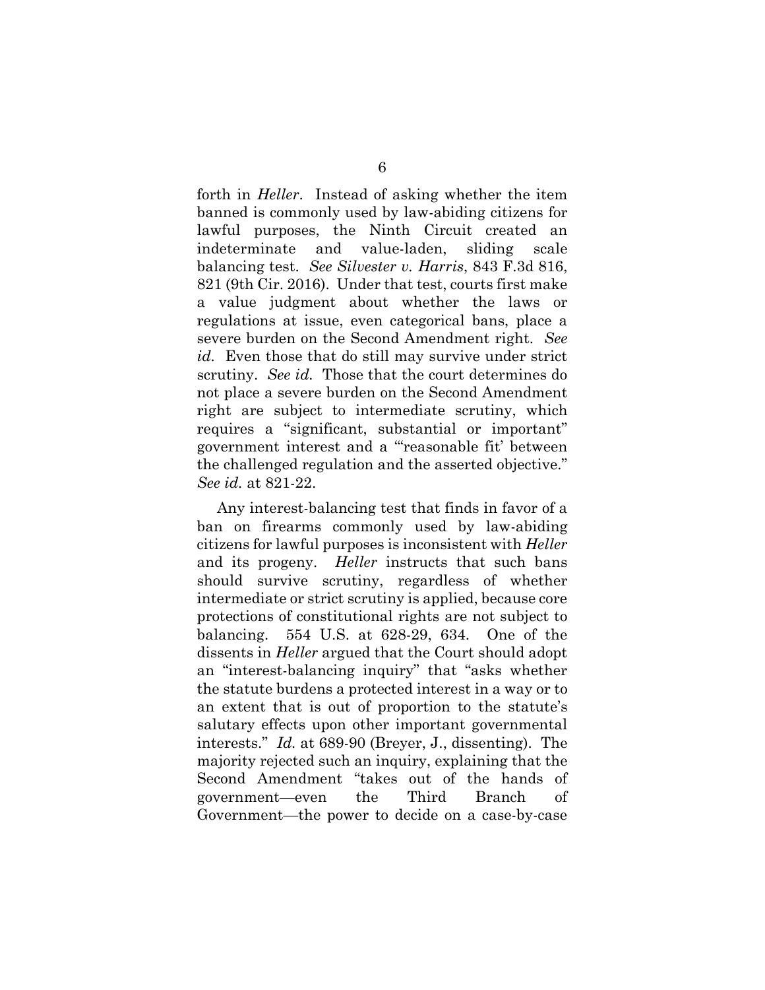forth in *Heller*. Instead of asking whether the item banned is commonly used by law-abiding citizens for lawful purposes, the Ninth Circuit created an indeterminate and value-laden, sliding scale balancing test. *See Silvester v. Harris*, 843 F.3d 816, 821 (9th Cir. 2016). Under that test, courts first make a value judgment about whether the laws or regulations at issue, even categorical bans, place a severe burden on the Second Amendment right. *See id.* Even those that do still may survive under strict scrutiny. *See id.* Those that the court determines do not place a severe burden on the Second Amendment right are subject to intermediate scrutiny, which requires a "significant, substantial or important" government interest and a "'reasonable fit' between the challenged regulation and the asserted objective." *See id.* at 821-22.

 Any interest-balancing test that finds in favor of a ban on firearms commonly used by law-abiding citizens for lawful purposes is inconsistent with *Heller* and its progeny. *Heller* instructs that such bans should survive scrutiny, regardless of whether intermediate or strict scrutiny is applied, because core protections of constitutional rights are not subject to balancing. 554 U.S. at 628-29, 634. One of the dissents in *Heller* argued that the Court should adopt an "interest-balancing inquiry" that "asks whether the statute burdens a protected interest in a way or to an extent that is out of proportion to the statute's salutary effects upon other important governmental interests." *Id.* at 689-90 (Breyer, J., dissenting). The majority rejected such an inquiry, explaining that the Second Amendment "takes out of the hands of government—even the Third Branch of Government—the power to decide on a case-by-case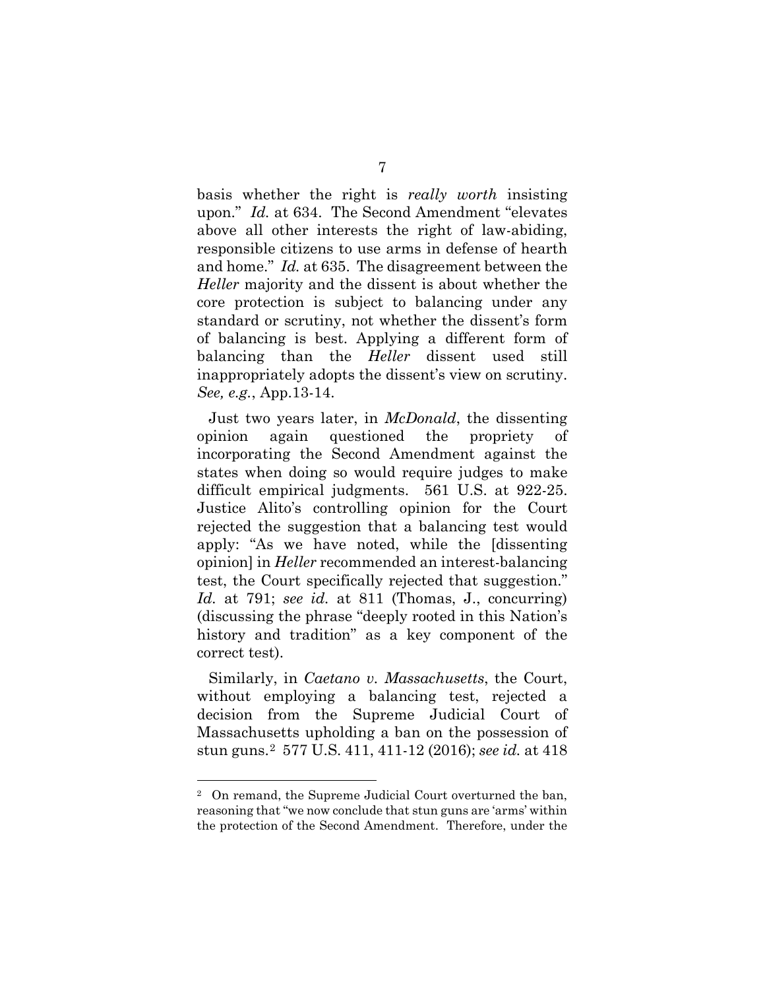basis whether the right is *really worth* insisting upon." *Id.* at 634. The Second Amendment "elevates above all other interests the right of law-abiding, responsible citizens to use arms in defense of hearth and home." *Id.* at 635. The disagreement between the *Heller* majority and the dissent is about whether the core protection is subject to balancing under any standard or scrutiny, not whether the dissent's form of balancing is best. Applying a different form of balancing than the *Heller* dissent used still inappropriately adopts the dissent's view on scrutiny. *See, e.g.*, App.13-14.

Just two years later, in *McDonald*, the dissenting opinion again questioned the propriety of incorporating the Second Amendment against the states when doing so would require judges to make difficult empirical judgments. 561 U.S. at 922-25. Justice Alito's controlling opinion for the Court rejected the suggestion that a balancing test would apply: "As we have noted, while the [dissenting opinion] in *Heller* recommended an interest-balancing test, the Court specifically rejected that suggestion." *Id.* at 791; *see id.* at 811 (Thomas, J., concurring) (discussing the phrase "deeply rooted in this Nation's history and tradition" as a key component of the correct test).

Similarly, in *Caetano v. Massachusetts*, the Court, without employing a balancing test, rejected a decision from the Supreme Judicial Court of Massachusetts upholding a ban on the possession of stun guns.[2](#page-12-0) 577 U.S. 411, 411-12 (2016); *see id.* at 418

<span id="page-12-0"></span><sup>2</sup> On remand, the Supreme Judicial Court overturned the ban, reasoning that "we now conclude that stun guns are 'arms' within the protection of the Second Amendment. Therefore, under the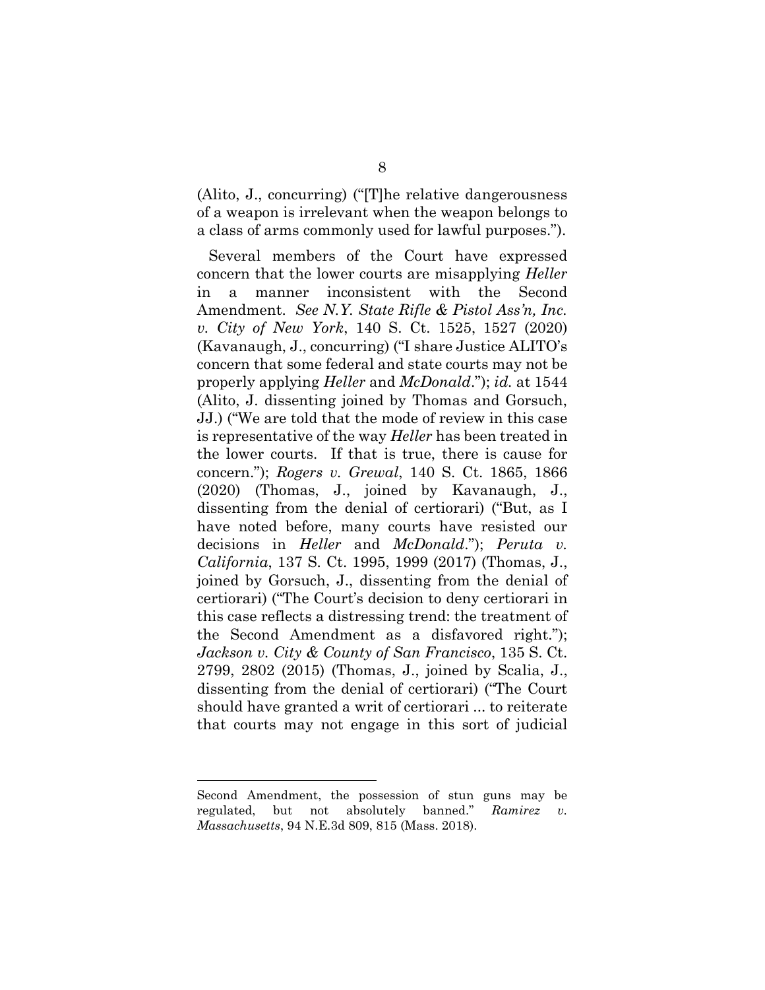(Alito, J., concurring) ("[T]he relative dangerousness of a weapon is irrelevant when the weapon belongs to a class of arms commonly used for lawful purposes.").

Several members of the Court have expressed concern that the lower courts are misapplying *Heller* in a manner inconsistent with the Second Amendment. *See N.Y. State Rifle & Pistol Ass'n, Inc. v. City of New York*, 140 S. Ct. 1525, 1527 (2020) (Kavanaugh, J., concurring) ("I share Justice ALITO's concern that some federal and state courts may not be properly applying *Heller* and *McDonald*."); *id.* at 1544 (Alito, J. dissenting joined by Thomas and Gorsuch, JJ.) ("We are told that the mode of review in this case is representative of the way *Heller* has been treated in the lower courts. If that is true, there is cause for concern."); *Rogers v. Grewal*, 140 S. Ct. 1865, 1866 (2020) (Thomas, J., joined by Kavanaugh, J., dissenting from the denial of certiorari) ("But, as I have noted before, many courts have resisted our decisions in *Heller* and *McDonald*."); *Peruta v. California*, 137 S. Ct. 1995, 1999 (2017) (Thomas, J., joined by Gorsuch, J., dissenting from the denial of certiorari) ("The Court's decision to deny certiorari in this case reflects a distressing trend: the treatment of the Second Amendment as a disfavored right."); *Jackson v. City & County of San Francisco*, 135 S. Ct. 2799, 2802 (2015) (Thomas, J., joined by Scalia, J., dissenting from the denial of certiorari) ("The Court should have granted a writ of certiorari ... to reiterate that courts may not engage in this sort of judicial

Second Amendment, the possession of stun guns may be regulated, but not absolutely banned." *Ramirez v. Massachusetts*, 94 N.E.3d 809, 815 (Mass. 2018).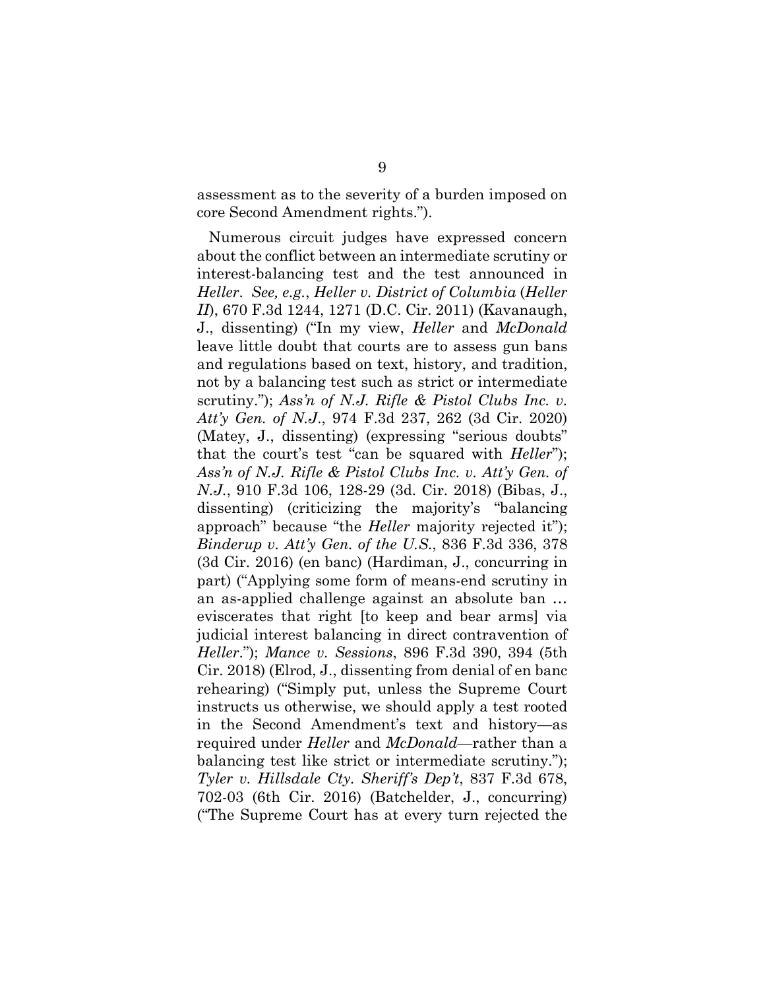assessment as to the severity of a burden imposed on core Second Amendment rights.").

Numerous circuit judges have expressed concern about the conflict between an intermediate scrutiny or interest-balancing test and the test announced in *Heller*. *See, e.g.*, *Heller v. District of Columbia* (*Heller II*), 670 F.3d 1244, 1271 (D.C. Cir. 2011) (Kavanaugh, J., dissenting) ("In my view, *Heller* and *McDonald* leave little doubt that courts are to assess gun bans and regulations based on text, history, and tradition, not by a balancing test such as strict or intermediate scrutiny."); *Ass'n of N.J. Rifle & Pistol Clubs Inc. v. Att'y Gen. of N.J*., 974 F.3d 237, 262 (3d Cir. 2020) (Matey, J., dissenting) (expressing "serious doubts" that the court's test "can be squared with *Heller*"); *Ass'n of N.J. Rifle & Pistol Clubs Inc. v. Att'y Gen. of N.J.*, 910 F.3d 106, 128-29 (3d. Cir. 2018) (Bibas, J., dissenting) (criticizing the majority's "balancing approach" because "the *Heller* majority rejected it"); *Binderup v. Att'y Gen. of the U.S.*, 836 F.3d 336, 378 (3d Cir. 2016) (en banc) (Hardiman, J., concurring in part) ("Applying some form of means-end scrutiny in an as-applied challenge against an absolute ban … eviscerates that right [to keep and bear arms] via judicial interest balancing in direct contravention of *Heller*."); *Mance v. Sessions*, 896 F.3d 390, 394 (5th Cir. 2018) (Elrod, J., dissenting from denial of en banc rehearing) ("Simply put, unless the Supreme Court instructs us otherwise, we should apply a test rooted in the Second Amendment's text and history—as required under *Heller* and *McDonald*—rather than a balancing test like strict or intermediate scrutiny."); *Tyler v. Hillsdale Cty. Sheriff's Dep't*, 837 F.3d 678, 702-03 (6th Cir. 2016) (Batchelder, J., concurring) ("The Supreme Court has at every turn rejected the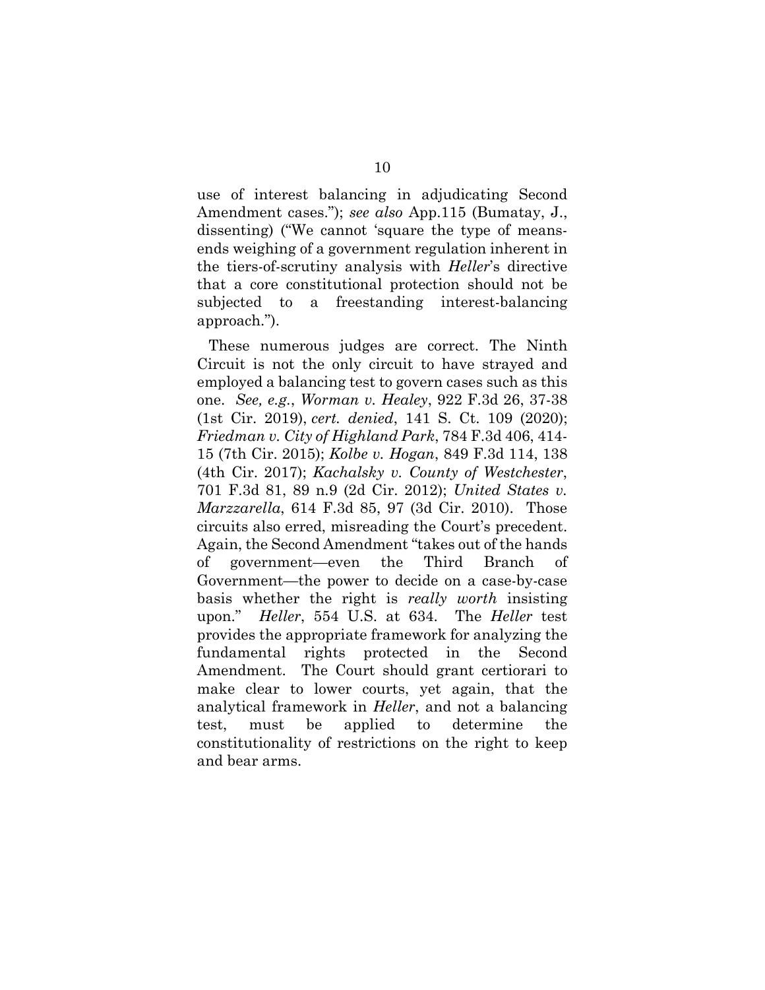use of interest balancing in adjudicating Second Amendment cases."); *see also* App.115 (Bumatay, J., dissenting) ("We cannot 'square the type of meansends weighing of a government regulation inherent in the tiers-of-scrutiny analysis with *Heller*'s directive that a core constitutional protection should not be subjected to a freestanding interest-balancing approach.").

These numerous judges are correct. The Ninth Circuit is not the only circuit to have strayed and employed a balancing test to govern cases such as this one. *See, e.g.*, *Worman v. Healey*, 922 F.3d 26, 37-38 (1st Cir. 2019), *cert. denied*, 141 S. Ct. 109 (2020); *Friedman v. City of Highland Park*, 784 F.3d 406, 414- 15 (7th Cir. 2015); *Kolbe v. Hogan*, 849 F.3d 114, 138 (4th Cir. 2017); *Kachalsky v. County of Westchester*, 701 F.3d 81, 89 n.9 (2d Cir. 2012); *United States v. Marzzarella*, 614 F.3d 85, 97 (3d Cir. 2010). Those circuits also erred, misreading the Court's precedent. Again, the Second Amendment "takes out of the hands of government—even the Third Branch of Government—the power to decide on a case-by-case basis whether the right is *really worth* insisting upon." *Heller*, 554 U.S. at 634. The *Heller* test provides the appropriate framework for analyzing the fundamental rights protected in the Second Amendment. The Court should grant certiorari to make clear to lower courts, yet again, that the analytical framework in *Heller*, and not a balancing test, must be applied to determine the constitutionality of restrictions on the right to keep and bear arms.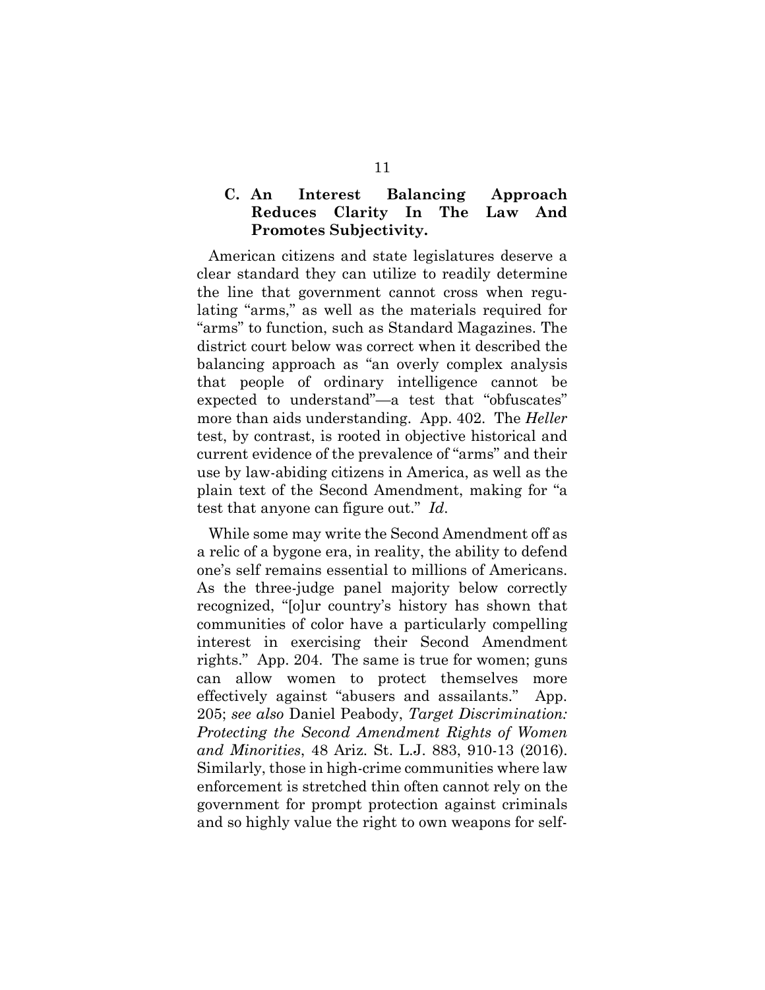### **C. An Interest Balancing Approach Reduces Clarity In The Law And Promotes Subjectivity.**

American citizens and state legislatures deserve a clear standard they can utilize to readily determine the line that government cannot cross when regulating "arms," as well as the materials required for "arms" to function, such as Standard Magazines. The district court below was correct when it described the balancing approach as "an overly complex analysis that people of ordinary intelligence cannot be expected to understand"—a test that "obfuscates" more than aids understanding. App. 402. The *Heller* test, by contrast, is rooted in objective historical and current evidence of the prevalence of "arms" and their use by law-abiding citizens in America, as well as the plain text of the Second Amendment, making for "a test that anyone can figure out." *Id*.

While some may write the Second Amendment off as a relic of a bygone era, in reality, the ability to defend one's self remains essential to millions of Americans. As the three-judge panel majority below correctly recognized, "[o]ur country's history has shown that communities of color have a particularly compelling interest in exercising their Second Amendment rights." App. 204. The same is true for women; guns can allow women to protect themselves more effectively against "abusers and assailants." App. 205; *see also* Daniel Peabody, *Target Discrimination: Protecting the Second Amendment Rights of Women and Minorities*, 48 Ariz. St. L.J. 883, 910-13 (2016). Similarly, those in high-crime communities where law enforcement is stretched thin often cannot rely on the government for prompt protection against criminals and so highly value the right to own weapons for self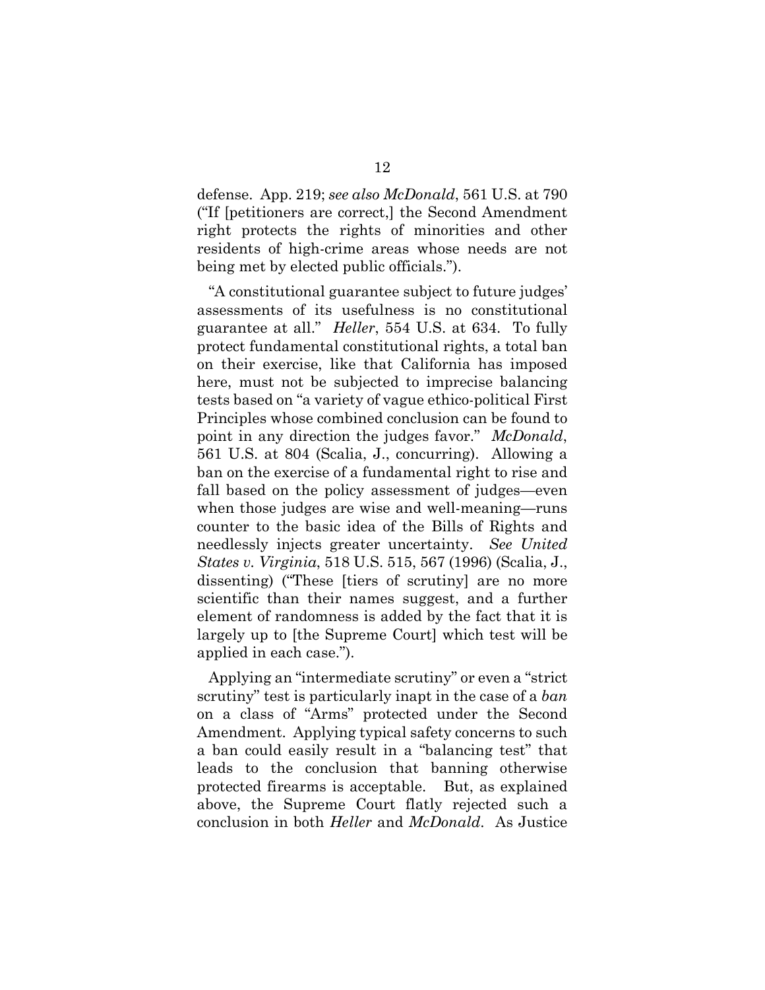defense. App. 219; *see also McDonald*, 561 U.S. at 790 ("If [petitioners are correct,] the Second Amendment right protects the rights of minorities and other residents of high-crime areas whose needs are not being met by elected public officials.").

"A constitutional guarantee subject to future judges' assessments of its usefulness is no constitutional guarantee at all." *Heller*, 554 U.S. at 634. To fully protect fundamental constitutional rights, a total ban on their exercise, like that California has imposed here, must not be subjected to imprecise balancing tests based on "a variety of vague ethico-political First Principles whose combined conclusion can be found to point in any direction the judges favor." *McDonald*, 561 U.S. at 804 (Scalia, J., concurring). Allowing a ban on the exercise of a fundamental right to rise and fall based on the policy assessment of judges—even when those judges are wise and well-meaning—runs counter to the basic idea of the Bills of Rights and needlessly injects greater uncertainty. *See United States v. Virginia*, 518 U.S. 515, 567 (1996) (Scalia, J., dissenting) ("These [tiers of scrutiny] are no more scientific than their names suggest, and a further element of randomness is added by the fact that it is largely up to [the Supreme Court] which test will be applied in each case.").

Applying an "intermediate scrutiny" or even a "strict scrutiny" test is particularly inapt in the case of a *ban* on a class of "Arms" protected under the Second Amendment. Applying typical safety concerns to such a ban could easily result in a "balancing test" that leads to the conclusion that banning otherwise protected firearms is acceptable. But, as explained above, the Supreme Court flatly rejected such a conclusion in both *Heller* and *McDonald*. As Justice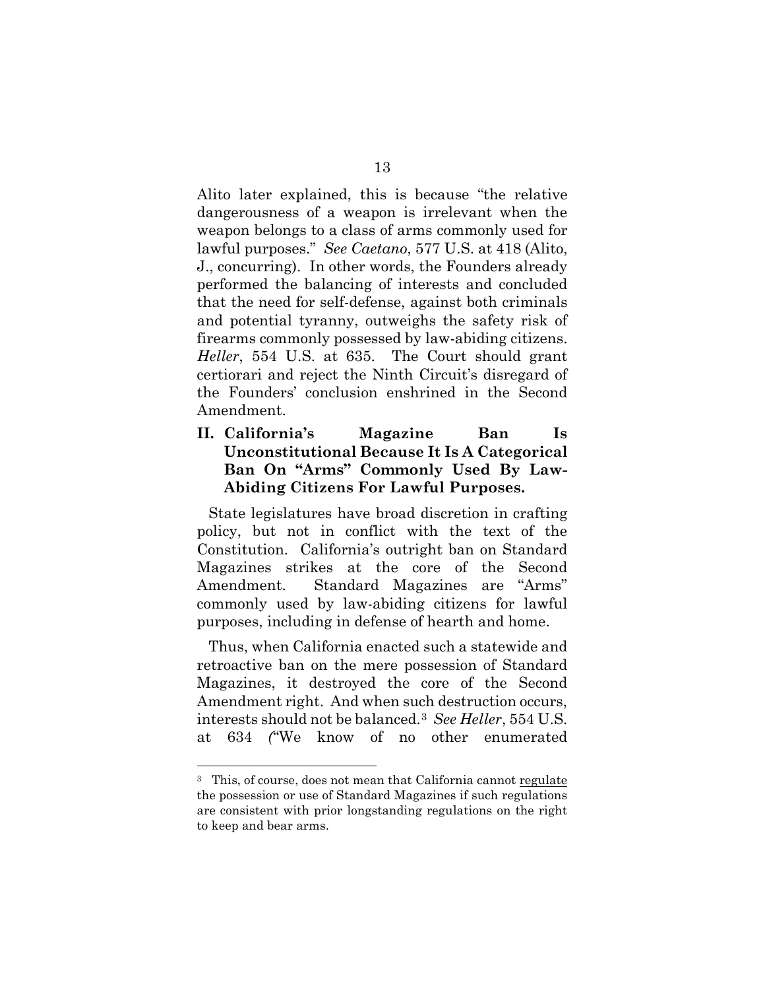Alito later explained, this is because "the relative dangerousness of a weapon is irrelevant when the weapon belongs to a class of arms commonly used for lawful purposes." *See Caetano*, 577 U.S. at 418 (Alito, J., concurring). In other words, the Founders already performed the balancing of interests and concluded that the need for self-defense, against both criminals and potential tyranny, outweighs the safety risk of firearms commonly possessed by law-abiding citizens. *Heller*, 554 U.S. at 635. The Court should grant certiorari and reject the Ninth Circuit's disregard of the Founders' conclusion enshrined in the Second Amendment.

### **II. California's Magazine Ban Is Unconstitutional Because It Is A Categorical Ban On "Arms" Commonly Used By Law-Abiding Citizens For Lawful Purposes.**

State legislatures have broad discretion in crafting policy, but not in conflict with the text of the Constitution. California's outright ban on Standard Magazines strikes at the core of the Second Amendment. Standard Magazines are "Arms" commonly used by law-abiding citizens for lawful purposes, including in defense of hearth and home.

Thus, when California enacted such a statewide and retroactive ban on the mere possession of Standard Magazines, it destroyed the core of the Second Amendment right. And when such destruction occurs, interests should not be balanced.[3](#page-18-0) *See Heller*, 554 U.S. at 634 *(*"We know of no other enumerated

<span id="page-18-0"></span><sup>3</sup> This, of course, does not mean that California cannot regulate the possession or use of Standard Magazines if such regulations are consistent with prior longstanding regulations on the right to keep and bear arms.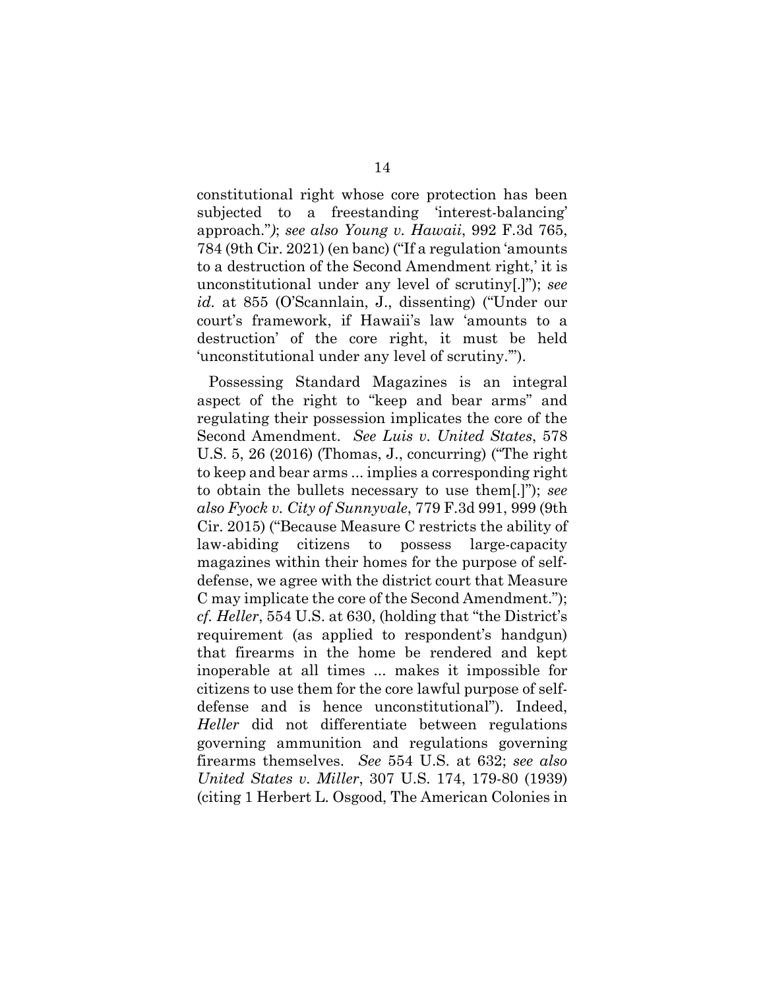constitutional right whose core protection has been subjected to a freestanding 'interest-balancing' approach."*)*; *see also Young v. Hawaii*, 992 F.3d 765, 784 (9th Cir. 2021) (en banc) ("If a regulation 'amounts to a destruction of the Second Amendment right,' it is unconstitutional under any level of scrutiny[.]"); *see id.* at 855 (O'Scannlain, J., dissenting) ("Under our court's framework, if Hawaii's law 'amounts to a destruction' of the core right, it must be held 'unconstitutional under any level of scrutiny.'").

Possessing Standard Magazines is an integral aspect of the right to "keep and bear arms" and regulating their possession implicates the core of the Second Amendment. *See Luis v. United States*, 578 U.S. 5, 26 (2016) (Thomas, J., concurring) ("The right to keep and bear arms ... implies a corresponding right to obtain the bullets necessary to use them[.]"); *see also Fyock v. City of Sunnyvale*, 779 F.3d 991, 999 (9th Cir. 2015) ("Because Measure C restricts the ability of law-abiding citizens to possess large-capacity magazines within their homes for the purpose of selfdefense, we agree with the district court that Measure C may implicate the core of the Second Amendment."); *cf. Heller*, 554 U.S. at 630, (holding that "the District's requirement (as applied to respondent's handgun) that firearms in the home be rendered and kept inoperable at all times ... makes it impossible for citizens to use them for the core lawful purpose of selfdefense and is hence unconstitutional"). Indeed, *Heller* did not differentiate between regulations governing ammunition and regulations governing firearms themselves. *See* 554 U.S. at 632; *see also United States v. Miller*, 307 U.S. 174, 179-80 (1939) (citing 1 Herbert L. Osgood, The American Colonies in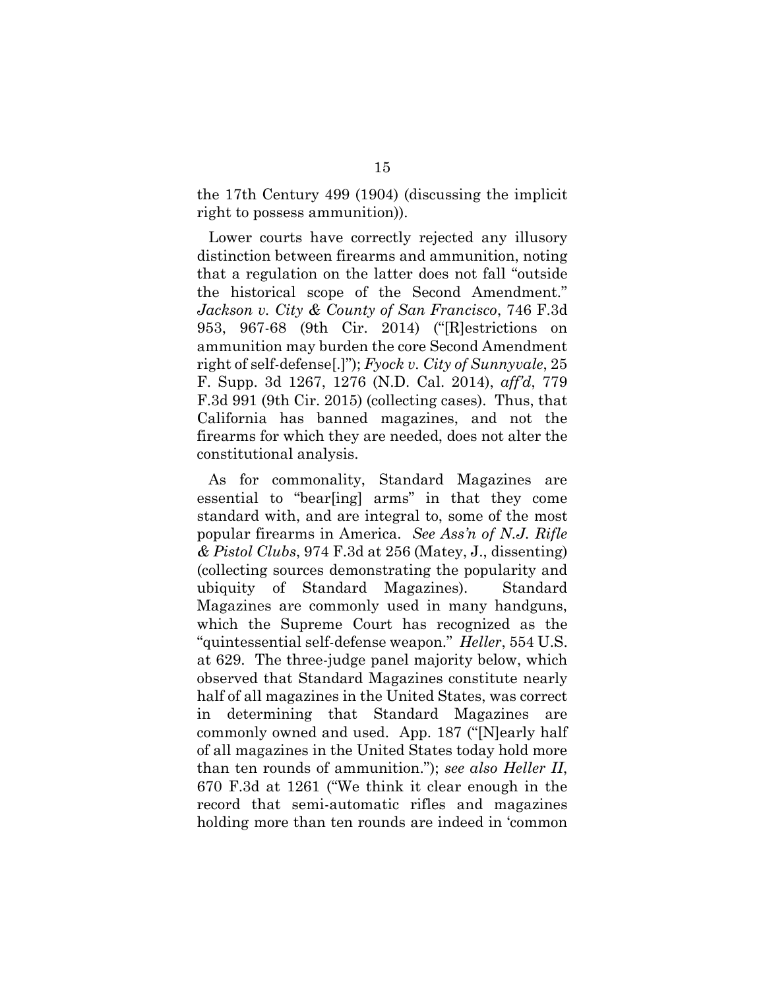the 17th Century 499 (1904) (discussing the implicit right to possess ammunition)).

Lower courts have correctly rejected any illusory distinction between firearms and ammunition, noting that a regulation on the latter does not fall "outside the historical scope of the Second Amendment." *Jackson v. City & County of San Francisco*, 746 F.3d 953, 967-68 (9th Cir. 2014) ("[R]estrictions on ammunition may burden the core Second Amendment right of self-defense[.]"); *Fyock v. City of Sunnyvale*, 25 F. Supp. 3d 1267, 1276 (N.D. Cal. 2014), *aff'd*, 779 F.3d 991 (9th Cir. 2015) (collecting cases). Thus, that California has banned magazines, and not the firearms for which they are needed, does not alter the constitutional analysis.

As for commonality, Standard Magazines are essential to "bear[ing] arms" in that they come standard with, and are integral to, some of the most popular firearms in America. *See Ass'n of N.J. Rifle & Pistol Clubs*, 974 F.3d at 256 (Matey, J., dissenting) (collecting sources demonstrating the popularity and ubiquity of Standard Magazines). Standard Magazines are commonly used in many handguns, which the Supreme Court has recognized as the "quintessential self-defense weapon." *Heller*, 554 U.S. at 629. The three-judge panel majority below, which observed that Standard Magazines constitute nearly half of all magazines in the United States, was correct in determining that Standard Magazines are commonly owned and used. App. 187 ("[N]early half of all magazines in the United States today hold more than ten rounds of ammunition."); *see also Heller II*, 670 F.3d at 1261 ("We think it clear enough in the record that semi-automatic rifles and magazines holding more than ten rounds are indeed in 'common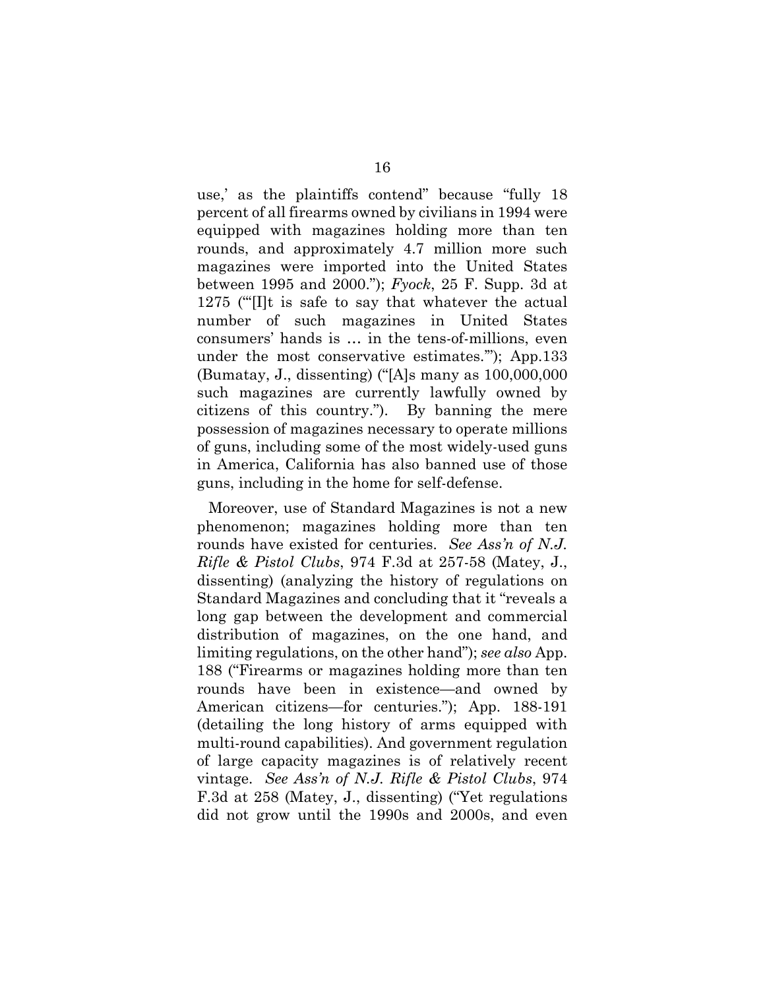use,' as the plaintiffs contend" because "fully 18 percent of all firearms owned by civilians in 1994 were equipped with magazines holding more than ten rounds, and approximately 4.7 million more such magazines were imported into the United States between 1995 and 2000."); *Fyock*, 25 F. Supp. 3d at 1275 ("'[I]t is safe to say that whatever the actual number of such magazines in United States consumers' hands is … in the tens-of-millions, even under the most conservative estimates.'"); App.133 (Bumatay, J., dissenting) ("[A]s many as 100,000,000 such magazines are currently lawfully owned by citizens of this country."). By banning the mere possession of magazines necessary to operate millions of guns, including some of the most widely-used guns in America, California has also banned use of those guns, including in the home for self-defense.

Moreover, use of Standard Magazines is not a new phenomenon; magazines holding more than ten rounds have existed for centuries. *See Ass'n of N.J. Rifle & Pistol Clubs*, 974 F.3d at 257-58 (Matey, J., dissenting) (analyzing the history of regulations on Standard Magazines and concluding that it "reveals a long gap between the development and commercial distribution of magazines, on the one hand, and limiting regulations, on the other hand"); *see also* App. 188 ("Firearms or magazines holding more than ten rounds have been in existence—and owned by American citizens—for centuries."); App. 188-191 (detailing the long history of arms equipped with multi-round capabilities). And government regulation of large capacity magazines is of relatively recent vintage. *See Ass'n of N.J. Rifle & Pistol Clubs*, 974 F.3d at 258 (Matey, J., dissenting) ("Yet regulations did not grow until the 1990s and 2000s, and even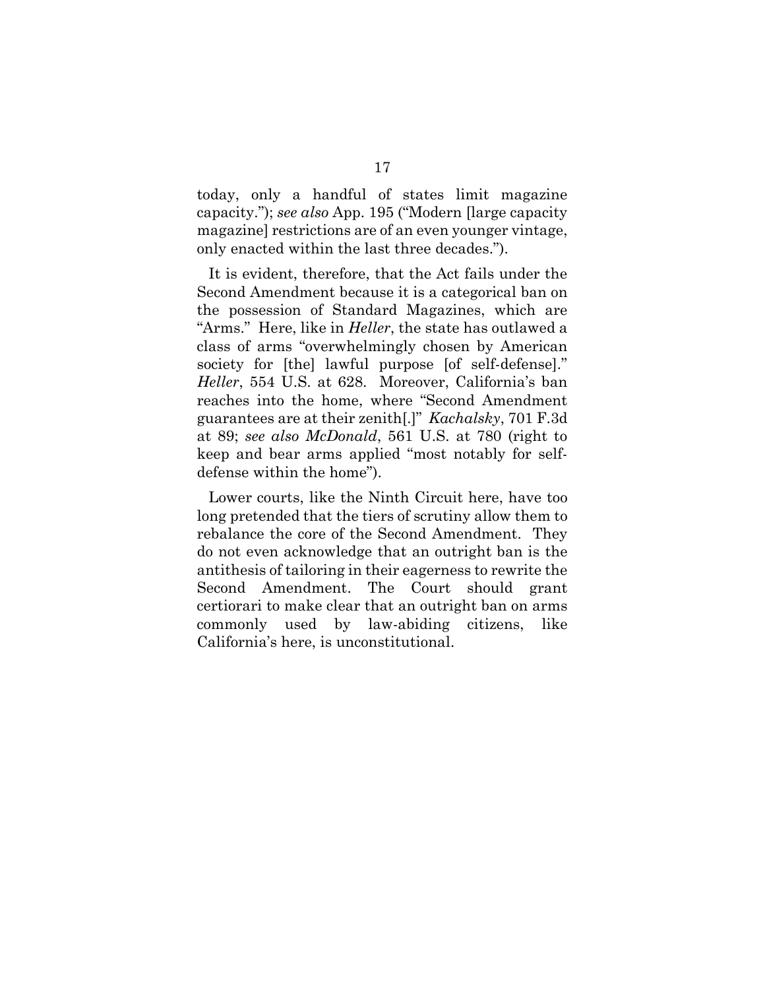today, only a handful of states limit magazine capacity."); *see also* App. 195 ("Modern [large capacity magazine] restrictions are of an even younger vintage, only enacted within the last three decades.").

It is evident, therefore, that the Act fails under the Second Amendment because it is a categorical ban on the possession of Standard Magazines, which are "Arms." Here, like in *Heller*, the state has outlawed a class of arms "overwhelmingly chosen by American society for [the] lawful purpose [of self-defense]." *Heller*, 554 U.S. at 628. Moreover, California's ban reaches into the home, where "Second Amendment guarantees are at their zenith[.]" *Kachalsky*, 701 F.3d at 89; *see also McDonald*, 561 U.S. at 780 (right to keep and bear arms applied "most notably for selfdefense within the home").

Lower courts, like the Ninth Circuit here, have too long pretended that the tiers of scrutiny allow them to rebalance the core of the Second Amendment. They do not even acknowledge that an outright ban is the antithesis of tailoring in their eagerness to rewrite the Second Amendment. The Court should grant certiorari to make clear that an outright ban on arms commonly used by law-abiding citizens, like California's here, is unconstitutional.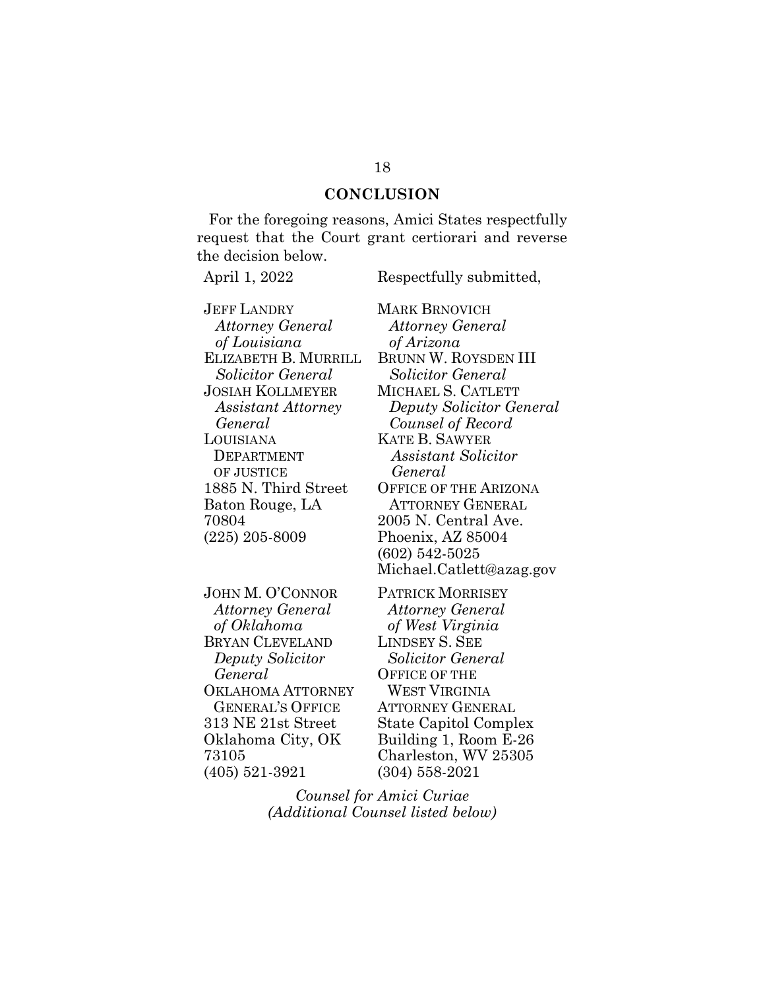### **CONCLUSION**

For the foregoing reasons, Amici States respectfully request that the Court grant certiorari and reverse the decision below.

April 1, 2022 Respectfully submitted,

JEFF LANDRY *Attorney General of Louisiana* ELIZABETH B. MURRILL *Solicitor General* JOSIAH KOLLMEYER *Assistant Attorney General* LOUISIANA DEPARTMENT OF JUSTICE 1885 N. Third Street Baton Rouge, LA 70804 (225) 205-8009

JOHN M. O'CONNOR *Attorney General of Oklahoma* BRYAN CLEVELAND *Deputy Solicitor General* OKLAHOMA ATTORNEY GENERAL'S OFFICE 313 NE 21st Street Oklahoma City, OK 73105 (405) 521-3921

MARK BRNOVICH *Attorney General of Arizona* BRUNN W. ROYSDEN III *Solicitor General* MICHAEL S. CATLETT *Deputy Solicitor General Counsel of Record* KATE B. SAWYER *Assistant Solicitor General* OFFICE OF THE ARIZONA ATTORNEY GENERAL 2005 N. Central Ave. Phoenix, AZ 85004 (602) 542-5025 Michael.Catlett@azag.gov

PATRICK MORRISEY *Attorney General of West Virginia* LINDSEY S. SEE *Solicitor General* OFFICE OF THE WEST VIRGINIA ATTORNEY GENERAL State Capitol Complex Building 1, Room E-26 Charleston, WV 25305 (304) 558-2021

*Counsel for Amici Curiae (Additional Counsel listed below)*